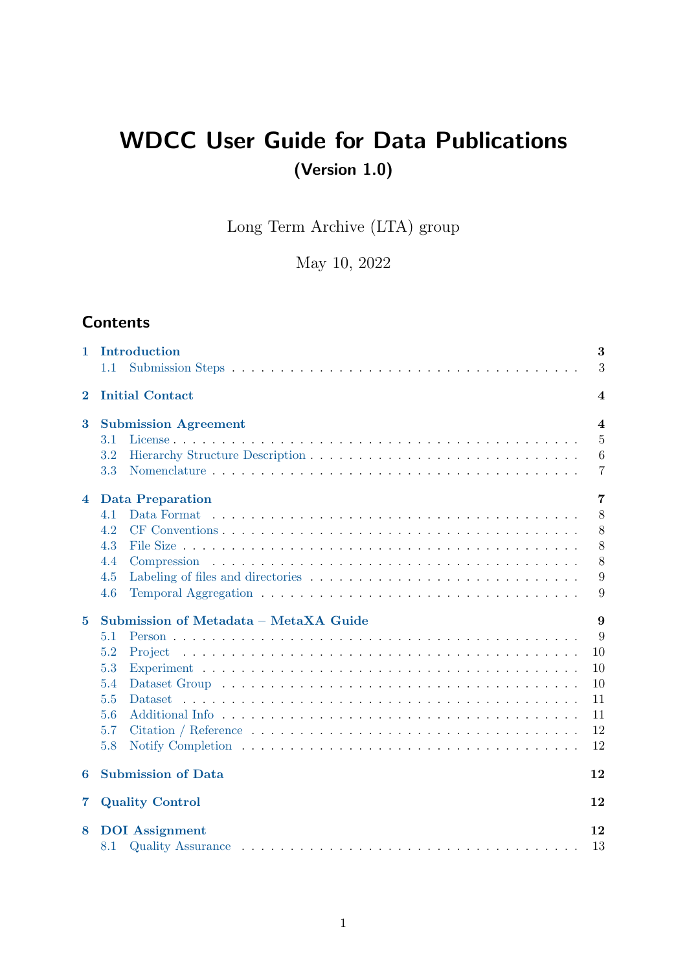# WDCC User Guide for Data Publications (Version 1.0)

Long Term Archive (LTA) group

May 10, 2022

# **Contents**

| 1                       | Introduction<br>1.1                   | 3<br>3           |
|-------------------------|---------------------------------------|------------------|
| $\bf{2}$                | <b>Initial Contact</b>                | $\boldsymbol{4}$ |
| 3                       | <b>Submission Agreement</b>           | $\boldsymbol{4}$ |
|                         | 3.1                                   | $\overline{5}$   |
|                         | 3.2                                   | 6                |
|                         | 3.3                                   | 7                |
| $\overline{\mathbf{4}}$ | <b>Data Preparation</b>               | 7                |
|                         | 4.1<br>Data Format                    | 8                |
|                         | 4.2                                   | 8                |
|                         | 4.3                                   | 8                |
|                         | 4.4                                   | 8                |
|                         | 4.5                                   | 9                |
|                         | 4.6                                   | 9                |
| $\overline{5}$          | Submission of Metadata - MetaXA Guide | 9                |
|                         | 5.1                                   | 9                |
|                         | 5.2<br>Project                        | 10               |
|                         | 5.3                                   | 10               |
|                         | 5.4                                   | 10               |
|                         | 5.5<br><b>Dataset</b>                 | 11               |
|                         | 5.6                                   | 11               |
|                         | 5.7                                   | 12               |
|                         | 5.8                                   | 12               |
| 6                       | <b>Submission of Data</b>             | 12               |
| $\overline{\mathbf{7}}$ | <b>Quality Control</b>                | 12               |
| 8                       | <b>DOI</b> Assignment                 | 12               |
|                         | 8.1                                   | 13               |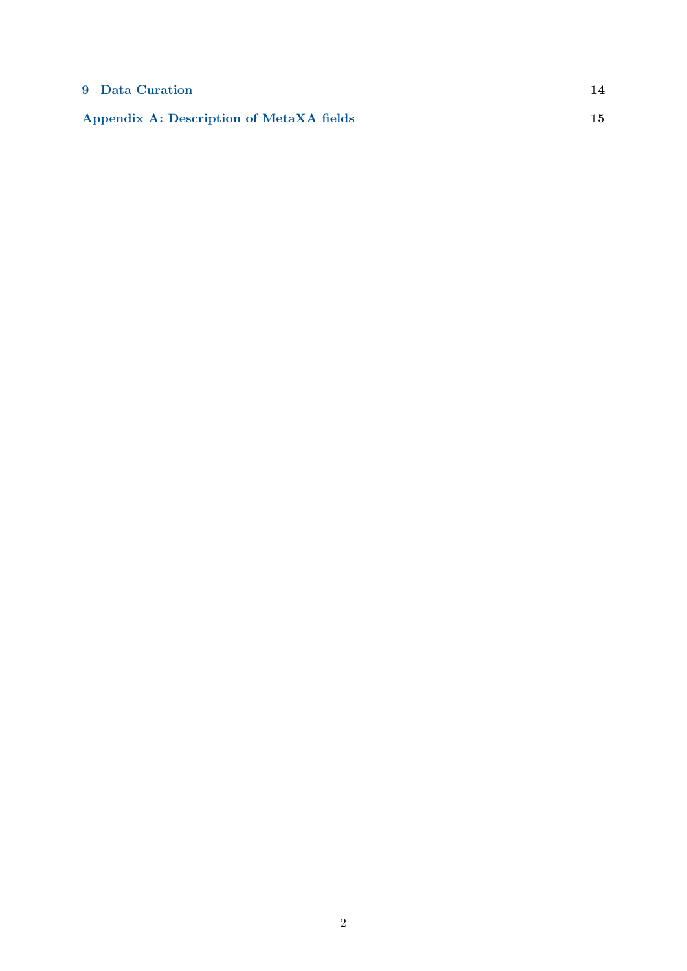### [9 Data Curation](#page-13-0) 14

[Appendix A: Description of MetaXA fields](#page-14-0) 15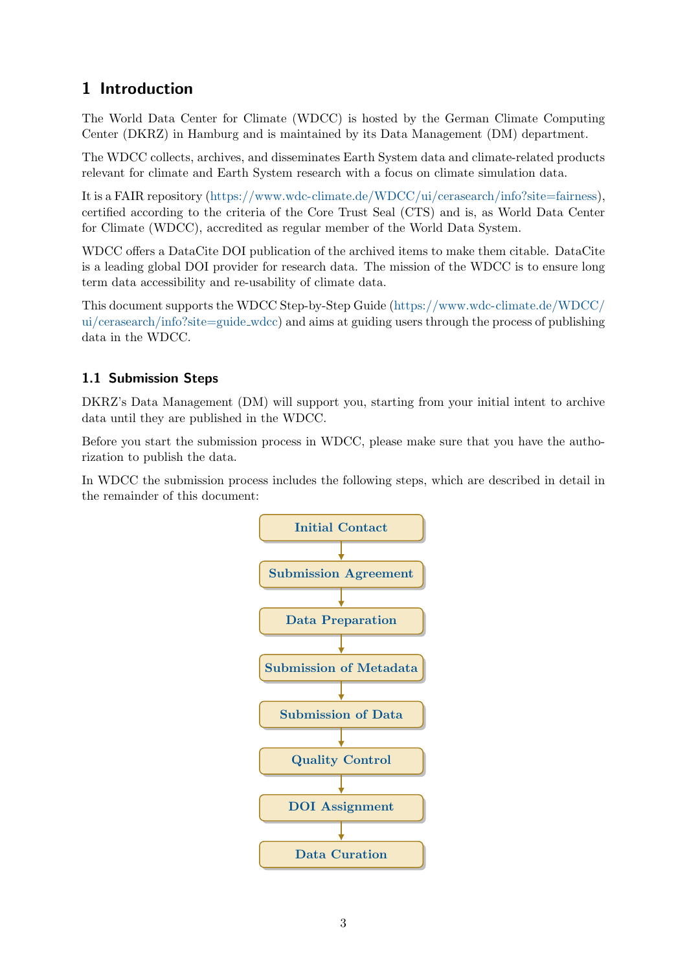# <span id="page-2-0"></span>1 Introduction

The World Data Center for Climate (WDCC) is hosted by the German Climate Computing Center (DKRZ) in Hamburg and is maintained by its Data Management (DM) department.

The WDCC collects, archives, and disseminates Earth System data and climate-related products relevant for climate and Earth System research with a focus on climate simulation data.

It is a FAIR repository [\(https://www.wdc-climate.de/WDCC/ui/cerasearch/info?site=fairness\)](https://www.wdc-climate.de/WDCC/ui/cerasearch/info?site=fairness), certified according to the criteria of the Core Trust Seal (CTS) and is, as World Data Center for Climate (WDCC), accredited as regular member of the World Data System.

WDCC offers a DataCite DOI publication of the archived items to make them citable. DataCite is a leading global DOI provider for research data. The mission of the WDCC is to ensure long term data accessibility and re-usability of climate data.

This document supports the WDCC Step-by-Step Guide [\(https://www.wdc-climate.de/WDCC/](https://www.wdc-climate.de/WDCC/ui/cerasearch/info?site=guide_wdcc) [ui/cerasearch/info?site=guide](https://www.wdc-climate.de/WDCC/ui/cerasearch/info?site=guide_wdcc) wdcc) and aims at guiding users through the process of publishing data in the WDCC.

### <span id="page-2-1"></span>1.1 Submission Steps

DKRZ's Data Management (DM) will support you, starting from your initial intent to archive data until they are published in the WDCC.

Before you start the submission process in WDCC, please make sure that you have the authorization to publish the data.

In WDCC the submission process includes the following steps, which are described in detail in the remainder of this document:

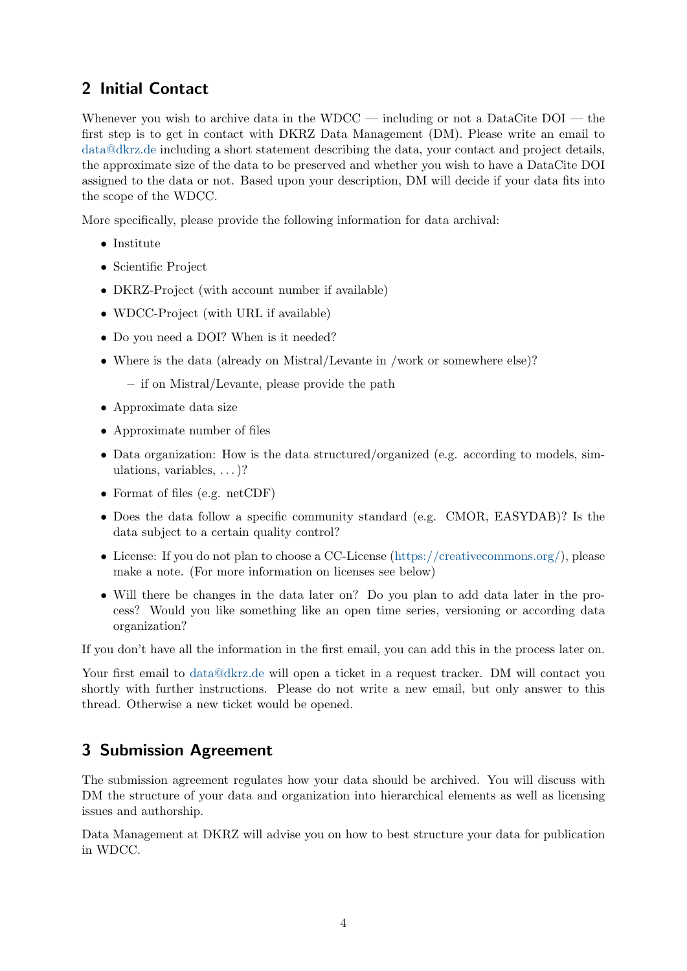# <span id="page-3-0"></span>2 Initial Contact

Whenever you wish to archive data in the WDCC — including or not a DataCite DOI — the first step is to get in contact with DKRZ Data Management (DM). Please write an email to [data@dkrz.de](mailto:data@dkrz.de) including a short statement describing the data, your contact and project details, the approximate size of the data to be preserved and whether you wish to have a DataCite DOI assigned to the data or not. Based upon your description, DM will decide if your data fits into the scope of the WDCC.

More specifically, please provide the following information for data archival:

- Institute
- Scientific Project
- DKRZ-Project (with account number if available)
- WDCC-Project (with URL if available)
- Do you need a DOI? When is it needed?
- Where is the data (already on Mistral/Levante in /work or somewhere else)?
	- if on Mistral/Levante, please provide the path
- Approximate data size
- Approximate number of files
- Data organization: How is the data structured/organized (e.g. according to models, simulations, variables, . . . )?
- Format of files (e.g. netCDF)
- Does the data follow a specific community standard (e.g. CMOR, EASYDAB)? Is the data subject to a certain quality control?
- License: If you do not plan to choose a CC-License [\(https://creativecommons.org/\)](https://creativecommons.org/), please make a note. (For more information on licenses see below)
- Will there be changes in the data later on? Do you plan to add data later in the process? Would you like something like an open time series, versioning or according data organization?

If you don't have all the information in the first email, you can add this in the process later on.

Your first email to [data@dkrz.de](mailto:data@dkrz.de) will open a ticket in a request tracker. DM will contact you shortly with further instructions. Please do not write a new email, but only answer to this thread. Otherwise a new ticket would be opened.

# <span id="page-3-1"></span>3 Submission Agreement

The submission agreement regulates how your data should be archived. You will discuss with DM the structure of your data and organization into hierarchical elements as well as licensing issues and authorship.

Data Management at DKRZ will advise you on how to best structure your data for publication in WDCC.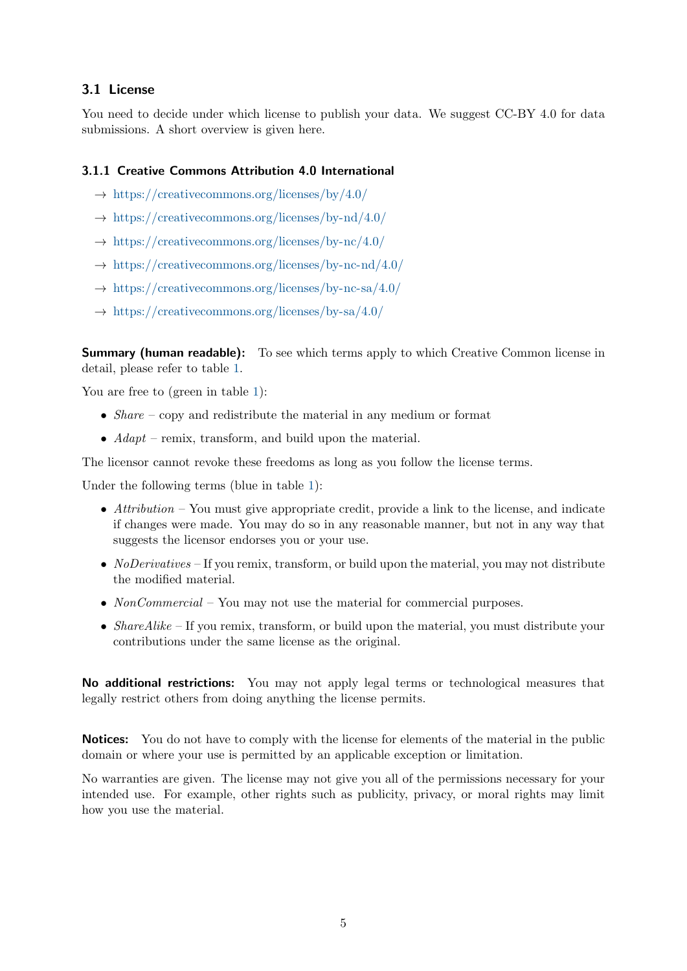#### <span id="page-4-0"></span>3.1 License

You need to decide under which license to publish your data. We suggest CC-BY 4.0 for data submissions. A short overview is given here.

#### 3.1.1 Creative Commons Attribution 4.0 International

- $\rightarrow$  <https://creativecommons.org/licenses/by/4.0/>
- $\rightarrow$  <https://creativecommons.org/licenses/by-nd/4.0/>
- $\rightarrow$  <https://creativecommons.org/licenses/by-nc/4.0/>
- $\rightarrow$  <https://creativecommons.org/licenses/by-nc-nd/4.0/>
- $\rightarrow$  <https://creativecommons.org/licenses/by-nc-sa/4.0/>
- $\rightarrow$  <https://creativecommons.org/licenses/by-sa/4.0/>

**Summary (human readable):** To see which terms apply to which Creative Common license in detail, please refer to table [1.](#page-5-1)

You are free to (green in table [1\)](#page-5-1):

- Share copy and redistribute the material in any medium or format
- $Adapt$  remix, transform, and build upon the material.

The licensor cannot revoke these freedoms as long as you follow the license terms.

Under the following terms (blue in table [1\)](#page-5-1):

- Attribution You must give appropriate credit, provide a link to the license, and indicate if changes were made. You may do so in any reasonable manner, but not in any way that suggests the licensor endorses you or your use.
- *NoDerivatives* If you remix, transform, or build upon the material, you may not distribute the modified material.
- NonCommercial You may not use the material for commercial purposes.
- ShareAlike If you remix, transform, or build upon the material, you must distribute your contributions under the same license as the original.

No additional restrictions: You may not apply legal terms or technological measures that legally restrict others from doing anything the license permits.

Notices: You do not have to comply with the license for elements of the material in the public domain or where your use is permitted by an applicable exception or limitation.

No warranties are given. The license may not give you all of the permissions necessary for your intended use. For example, other rights such as publicity, privacy, or moral rights may limit how you use the material.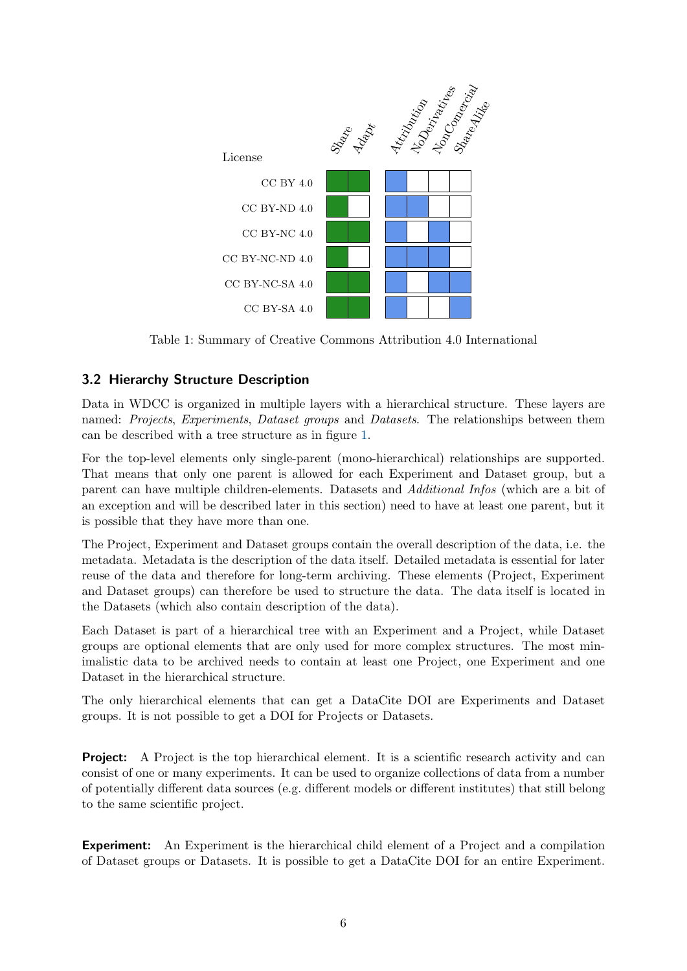<span id="page-5-1"></span>

Table 1: Summary of Creative Commons Attribution 4.0 International

### <span id="page-5-0"></span>3.2 Hierarchy Structure Description

Data in WDCC is organized in multiple layers with a hierarchical structure. These layers are named: Projects, Experiments, Dataset groups and Datasets. The relationships between them can be described with a tree structure as in figure [1.](#page-6-2)

For the top-level elements only single-parent (mono-hierarchical) relationships are supported. That means that only one parent is allowed for each Experiment and Dataset group, but a parent can have multiple children-elements. Datasets and Additional Infos (which are a bit of an exception and will be described later in this section) need to have at least one parent, but it is possible that they have more than one.

The Project, Experiment and Dataset groups contain the overall description of the data, i.e. the metadata. Metadata is the description of the data itself. Detailed metadata is essential for later reuse of the data and therefore for long-term archiving. These elements (Project, Experiment and Dataset groups) can therefore be used to structure the data. The data itself is located in the Datasets (which also contain description of the data).

Each Dataset is part of a hierarchical tree with an Experiment and a Project, while Dataset groups are optional elements that are only used for more complex structures. The most minimalistic data to be archived needs to contain at least one Project, one Experiment and one Dataset in the hierarchical structure.

The only hierarchical elements that can get a DataCite DOI are Experiments and Dataset groups. It is not possible to get a DOI for Projects or Datasets.

**Project:** A Project is the top hierarchical element. It is a scientific research activity and can consist of one or many experiments. It can be used to organize collections of data from a number of potentially different data sources (e.g. different models or different institutes) that still belong to the same scientific project.

Experiment: An Experiment is the hierarchical child element of a Project and a compilation of Dataset groups or Datasets. It is possible to get a DataCite DOI for an entire Experiment.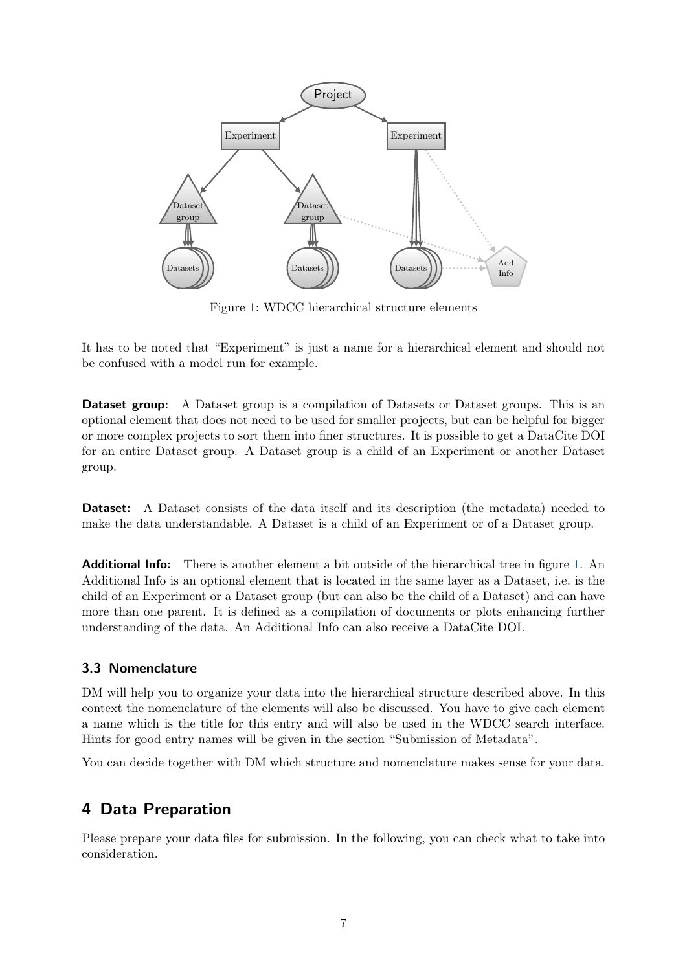<span id="page-6-2"></span>

Figure 1: WDCC hierarchical structure elements

It has to be noted that "Experiment" is just a name for a hierarchical element and should not be confused with a model run for example.

**Dataset group:** A Dataset group is a compilation of Datasets or Dataset groups. This is an optional element that does not need to be used for smaller projects, but can be helpful for bigger or more complex projects to sort them into finer structures. It is possible to get a DataCite DOI for an entire Dataset group. A Dataset group is a child of an Experiment or another Dataset group.

Dataset: A Dataset consists of the data itself and its description (the metadata) needed to make the data understandable. A Dataset is a child of an Experiment or of a Dataset group.

**Additional Info:** There is another element a bit outside of the hierarchical tree in figure [1.](#page-6-2) An Additional Info is an optional element that is located in the same layer as a Dataset, i.e. is the child of an Experiment or a Dataset group (but can also be the child of a Dataset) and can have more than one parent. It is defined as a compilation of documents or plots enhancing further understanding of the data. An Additional Info can also receive a DataCite DOI.

#### <span id="page-6-0"></span>3.3 Nomenclature

DM will help you to organize your data into the hierarchical structure described above. In this context the nomenclature of the elements will also be discussed. You have to give each element a name which is the title for this entry and will also be used in the WDCC search interface. Hints for good entry names will be given in the section "Submission of Metadata".

You can decide together with DM which structure and nomenclature makes sense for your data.

### <span id="page-6-1"></span>4 Data Preparation

Please prepare your data files for submission. In the following, you can check what to take into consideration.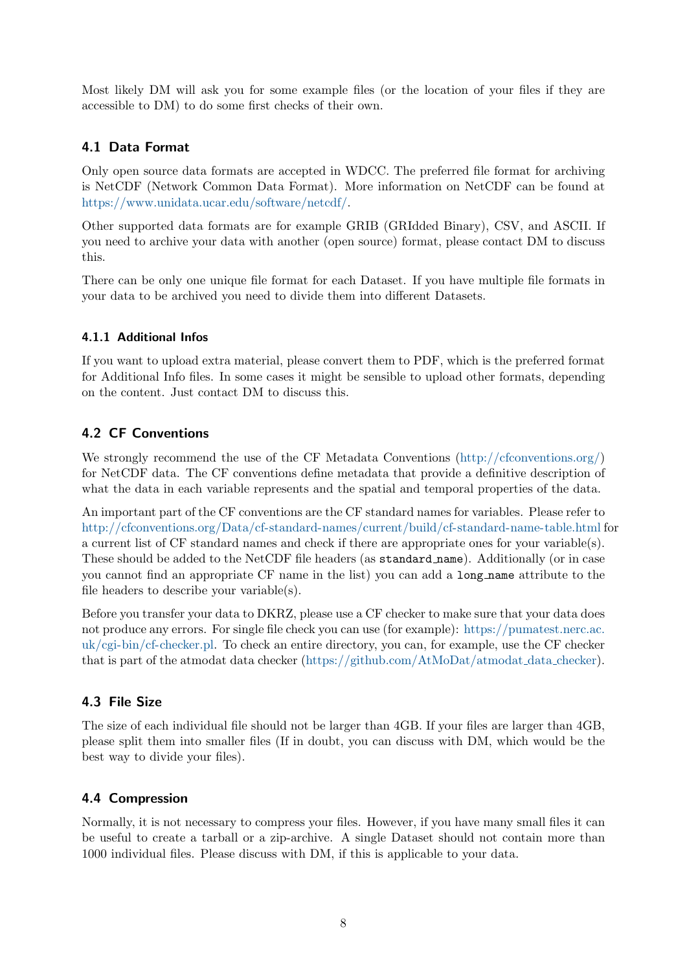Most likely DM will ask you for some example files (or the location of your files if they are accessible to DM) to do some first checks of their own.

#### <span id="page-7-0"></span>4.1 Data Format

Only open source data formats are accepted in WDCC. The preferred file format for archiving is NetCDF (Network Common Data Format). More information on NetCDF can be found at [https://www.unidata.ucar.edu/software/netcdf/.](https://www.unidata.ucar.edu/software/netcdf/)

Other supported data formats are for example GRIB (GRIdded Binary), CSV, and ASCII. If you need to archive your data with another (open source) format, please contact DM to discuss this.

There can be only one unique file format for each Dataset. If you have multiple file formats in your data to be archived you need to divide them into different Datasets.

#### 4.1.1 Additional Infos

If you want to upload extra material, please convert them to PDF, which is the preferred format for Additional Info files. In some cases it might be sensible to upload other formats, depending on the content. Just contact DM to discuss this.

### <span id="page-7-1"></span>4.2 CF Conventions

We strongly recommend the use of the CF Metadata Conventions [\(http://cfconventions.org/\)](http://cfconventions.org/) for NetCDF data. The CF conventions define metadata that provide a definitive description of what the data in each variable represents and the spatial and temporal properties of the data.

An important part of the CF conventions are the CF standard names for variables. Please refer to <http://cfconventions.org/Data/cf-standard-names/current/build/cf-standard-name-table.html> for a current list of CF standard names and check if there are appropriate ones for your variable(s). These should be added to the NetCDF file headers (as standard name). Additionally (or in case you cannot find an appropriate CF name in the list) you can add a long name attribute to the file headers to describe your variable(s).

Before you transfer your data to DKRZ, please use a CF checker to make sure that your data does not produce any errors. For single file check you can use (for example): [https://pumatest.nerc.ac.](https://pumatest.nerc.ac.uk/cgi-bin/cf-checker.pl) [uk/cgi-bin/cf-checker.pl.](https://pumatest.nerc.ac.uk/cgi-bin/cf-checker.pl) To check an entire directory, you can, for example, use the CF checker that is part of the atmodat data checker [\(https://github.com/AtMoDat/atmodat](https://github.com/AtMoDat/atmodat_data_checker) data checker).

### <span id="page-7-2"></span>4.3 File Size

The size of each individual file should not be larger than 4GB. If your files are larger than 4GB, please split them into smaller files (If in doubt, you can discuss with DM, which would be the best way to divide your files).

### <span id="page-7-3"></span>4.4 Compression

Normally, it is not necessary to compress your files. However, if you have many small files it can be useful to create a tarball or a zip-archive. A single Dataset should not contain more than 1000 individual files. Please discuss with DM, if this is applicable to your data.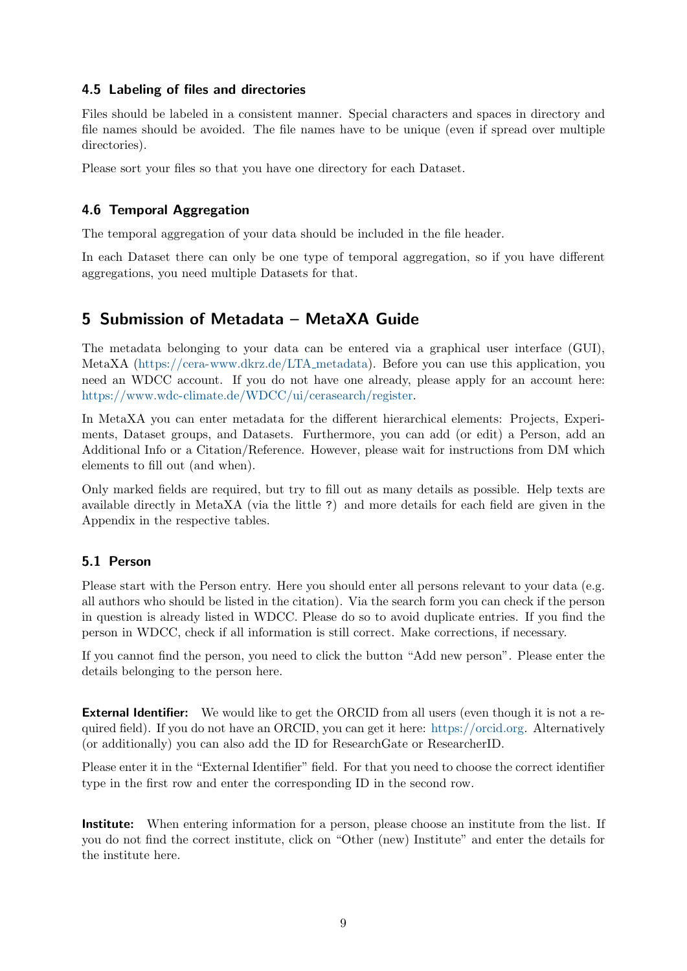#### <span id="page-8-0"></span>4.5 Labeling of files and directories

Files should be labeled in a consistent manner. Special characters and spaces in directory and file names should be avoided. The file names have to be unique (even if spread over multiple directories).

Please sort your files so that you have one directory for each Dataset.

### <span id="page-8-1"></span>4.6 Temporal Aggregation

The temporal aggregation of your data should be included in the file header.

In each Dataset there can only be one type of temporal aggregation, so if you have different aggregations, you need multiple Datasets for that.

# <span id="page-8-2"></span>5 Submission of Metadata – MetaXA Guide

The metadata belonging to your data can be entered via a graphical user interface (GUI), MetaXA [\(https://cera-www.dkrz.de/LTA](https://cera-www.dkrz.de/LTA_metadata) metadata). Before you can use this application, you need an WDCC account. If you do not have one already, please apply for an account here: [https://www.wdc-climate.de/WDCC/ui/cerasearch/register.](https://www.wdc-climate.de/WDCC/ui/cerasearch/register)

In MetaXA you can enter metadata for the different hierarchical elements: Projects, Experiments, Dataset groups, and Datasets. Furthermore, you can add (or edit) a Person, add an Additional Info or a Citation/Reference. However, please wait for instructions from DM which elements to fill out (and when).

Only marked fields are required, but try to fill out as many details as possible. Help texts are available directly in MetaXA (via the little ?) and more details for each field are given in the Appendix in the respective tables.

#### <span id="page-8-3"></span>5.1 Person

Please start with the Person entry. Here you should enter all persons relevant to your data (e.g. all authors who should be listed in the citation). Via the search form you can check if the person in question is already listed in WDCC. Please do so to avoid duplicate entries. If you find the person in WDCC, check if all information is still correct. Make corrections, if necessary.

If you cannot find the person, you need to click the button "Add new person". Please enter the details belonging to the person here.

**External Identifier:** We would like to get the ORCID from all users (even though it is not a required field). If you do not have an ORCID, you can get it here: [https://orcid.org.](https://orcid.org) Alternatively (or additionally) you can also add the ID for ResearchGate or ResearcherID.

Please enter it in the "External Identifier" field. For that you need to choose the correct identifier type in the first row and enter the corresponding ID in the second row.

Institute: When entering information for a person, please choose an institute from the list. If you do not find the correct institute, click on "Other (new) Institute" and enter the details for the institute here.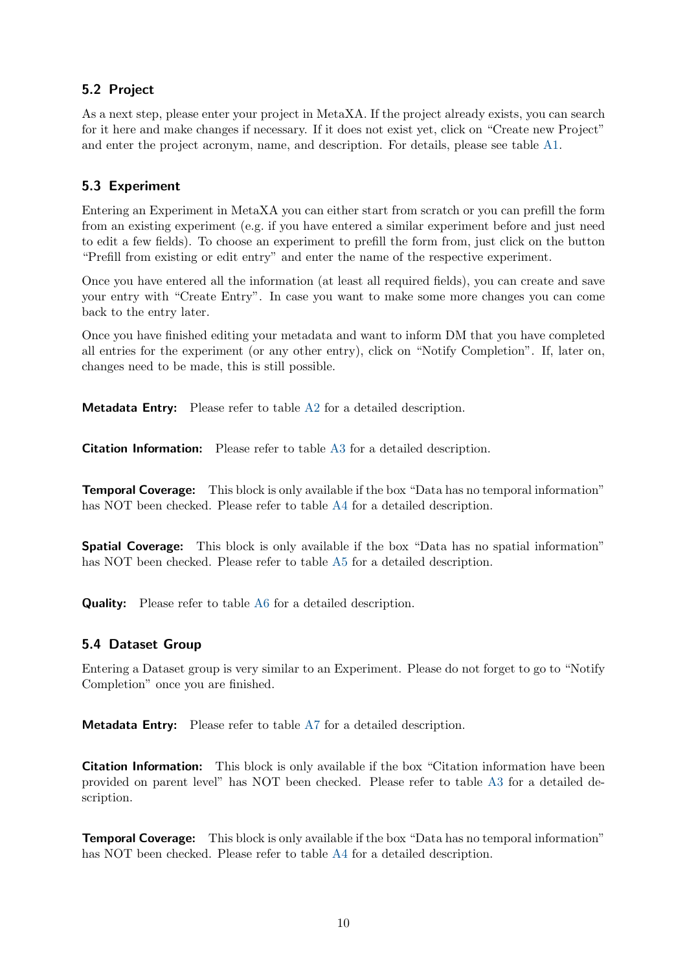### <span id="page-9-0"></span>5.2 Project

As a next step, please enter your project in MetaXA. If the project already exists, you can search for it here and make changes if necessary. If it does not exist yet, click on "Create new Project" and enter the project acronym, name, and description. For details, please see table [A1.](#page-14-1)

### <span id="page-9-1"></span>5.3 Experiment

Entering an Experiment in MetaXA you can either start from scratch or you can prefill the form from an existing experiment (e.g. if you have entered a similar experiment before and just need to edit a few fields). To choose an experiment to prefill the form from, just click on the button "Prefill from existing or edit entry" and enter the name of the respective experiment.

Once you have entered all the information (at least all required fields), you can create and save your entry with "Create Entry". In case you want to make some more changes you can come back to the entry later.

Once you have finished editing your metadata and want to inform DM that you have completed all entries for the experiment (or any other entry), click on "Notify Completion". If, later on, changes need to be made, this is still possible.

Metadata Entry: Please refer to table [A2](#page-15-0) for a detailed description.

Citation Information: Please refer to table [A3](#page-16-0) for a detailed description.

Temporal Coverage: This block is only available if the box "Data has no temporal information" has NOT been checked. Please refer to table [A4](#page-16-1) for a detailed description.

**Spatial Coverage:** This block is only available if the box "Data has no spatial information" has NOT been checked. Please refer to table [A5](#page-17-0) for a detailed description.

Quality: Please refer to table [A6](#page-17-1) for a detailed description.

### <span id="page-9-2"></span>5.4 Dataset Group

Entering a Dataset group is very similar to an Experiment. Please do not forget to go to "Notify Completion" once you are finished.

Metadata Entry: Please refer to table [A7](#page-18-0) for a detailed description.

**Citation Information:** This block is only available if the box "Citation information have been provided on parent level" has NOT been checked. Please refer to table [A3](#page-16-0) for a detailed description.

Temporal Coverage: This block is only available if the box "Data has no temporal information" has NOT been checked. Please refer to table [A4](#page-16-1) for a detailed description.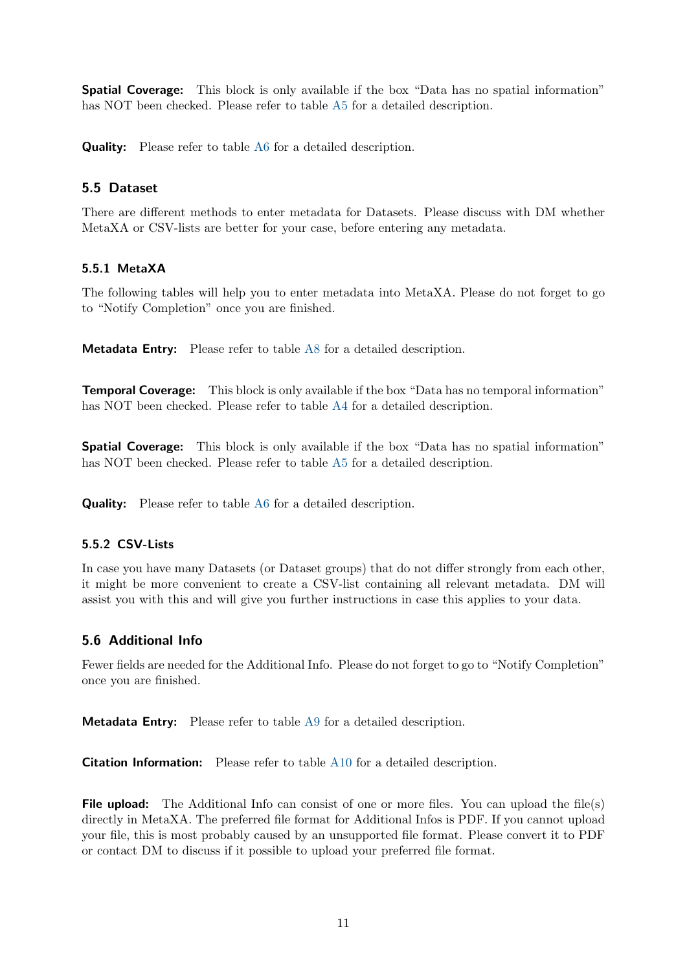**Spatial Coverage:** This block is only available if the box "Data has no spatial information" has NOT been checked. Please refer to table [A5](#page-17-0) for a detailed description.

Quality: Please refer to table [A6](#page-17-1) for a detailed description.

#### <span id="page-10-0"></span>5.5 Dataset

There are different methods to enter metadata for Datasets. Please discuss with DM whether MetaXA or CSV-lists are better for your case, before entering any metadata.

#### 5.5.1 MetaXA

The following tables will help you to enter metadata into MetaXA. Please do not forget to go to "Notify Completion" once you are finished.

Metadata Entry: Please refer to table [A8](#page-19-0) for a detailed description.

Temporal Coverage: This block is only available if the box "Data has no temporal information" has NOT been checked. Please refer to table [A4](#page-16-1) for a detailed description.

Spatial Coverage: This block is only available if the box "Data has no spatial information" has NOT been checked. Please refer to table [A5](#page-17-0) for a detailed description.

**Quality:** Please refer to table [A6](#page-17-1) for a detailed description.

#### 5.5.2 CSV-Lists

In case you have many Datasets (or Dataset groups) that do not differ strongly from each other, it might be more convenient to create a CSV-list containing all relevant metadata. DM will assist you with this and will give you further instructions in case this applies to your data.

#### <span id="page-10-1"></span>5.6 Additional Info

Fewer fields are needed for the Additional Info. Please do not forget to go to "Notify Completion" once you are finished.

Metadata Entry: Please refer to table [A9](#page-20-0) for a detailed description.

Citation Information: Please refer to table [A10](#page-20-1) for a detailed description.

File upload: The Additional Info can consist of one or more files. You can upload the file(s) directly in MetaXA. The preferred file format for Additional Infos is PDF. If you cannot upload your file, this is most probably caused by an unsupported file format. Please convert it to PDF or contact DM to discuss if it possible to upload your preferred file format.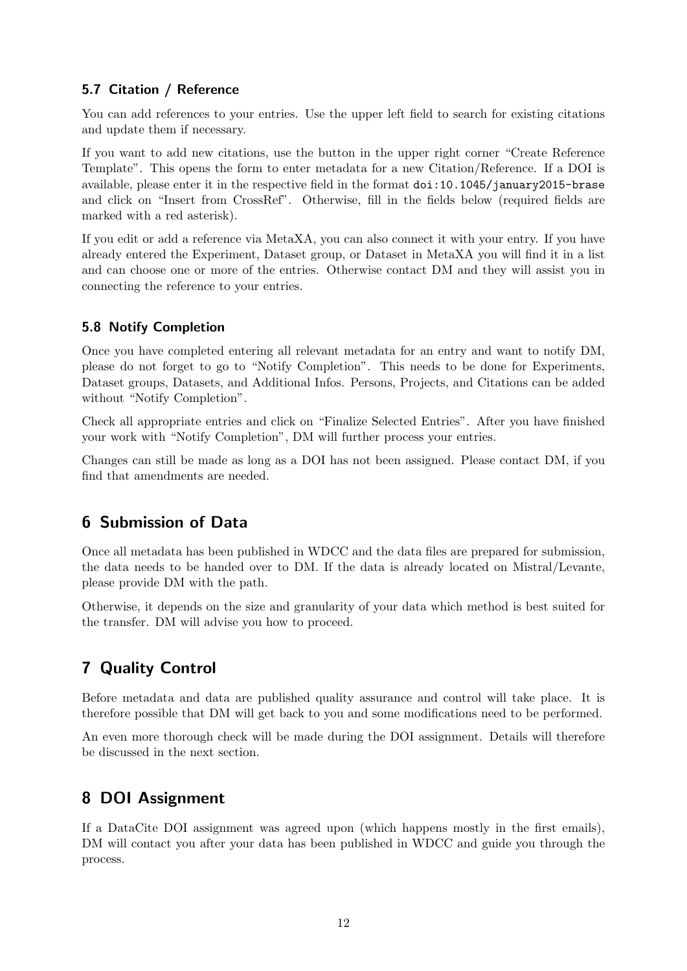### <span id="page-11-0"></span>5.7 Citation / Reference

You can add references to your entries. Use the upper left field to search for existing citations and update them if necessary.

If you want to add new citations, use the button in the upper right corner "Create Reference Template". This opens the form to enter metadata for a new Citation/Reference. If a DOI is available, please enter it in the respective field in the format doi:10.1045/january2015-brase and click on "Insert from CrossRef". Otherwise, fill in the fields below (required fields are marked with a red asterisk).

If you edit or add a reference via MetaXA, you can also connect it with your entry. If you have already entered the Experiment, Dataset group, or Dataset in MetaXA you will find it in a list and can choose one or more of the entries. Otherwise contact DM and they will assist you in connecting the reference to your entries.

### <span id="page-11-1"></span>5.8 Notify Completion

Once you have completed entering all relevant metadata for an entry and want to notify DM, please do not forget to go to "Notify Completion". This needs to be done for Experiments, Dataset groups, Datasets, and Additional Infos. Persons, Projects, and Citations can be added without "Notify Completion".

Check all appropriate entries and click on "Finalize Selected Entries". After you have finished your work with "Notify Completion", DM will further process your entries.

Changes can still be made as long as a DOI has not been assigned. Please contact DM, if you find that amendments are needed.

# <span id="page-11-2"></span>6 Submission of Data

Once all metadata has been published in WDCC and the data files are prepared for submission, the data needs to be handed over to DM. If the data is already located on Mistral/Levante, please provide DM with the path.

Otherwise, it depends on the size and granularity of your data which method is best suited for the transfer. DM will advise you how to proceed.

# <span id="page-11-3"></span>7 Quality Control

Before metadata and data are published quality assurance and control will take place. It is therefore possible that DM will get back to you and some modifications need to be performed.

An even more thorough check will be made during the DOI assignment. Details will therefore be discussed in the next section.

# <span id="page-11-4"></span>8 DOI Assignment

If a DataCite DOI assignment was agreed upon (which happens mostly in the first emails), DM will contact you after your data has been published in WDCC and guide you through the process.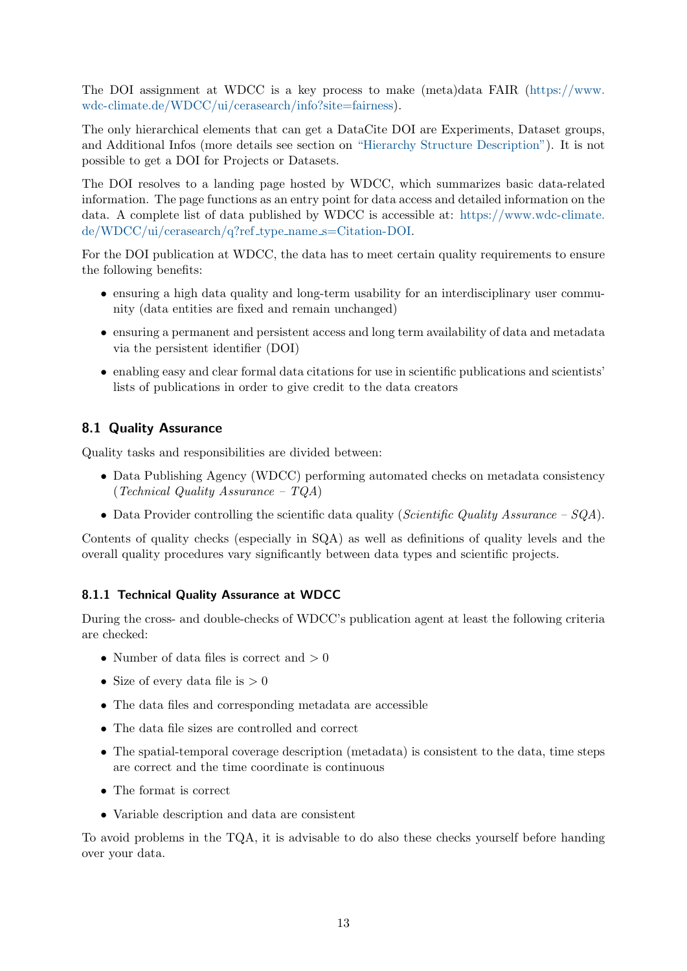The DOI assignment at WDCC is a key process to make (meta)data FAIR [\(https://www.](https://www.wdc-climate.de/WDCC/ui/cerasearch/info?site=fairness) [wdc-climate.de/WDCC/ui/cerasearch/info?site=fairness\)](https://www.wdc-climate.de/WDCC/ui/cerasearch/info?site=fairness).

The only hierarchical elements that can get a DataCite DOI are Experiments, Dataset groups, and Additional Infos (more details see section on ["Hierarchy Structure Description"\)](#page-5-0). It is not possible to get a DOI for Projects or Datasets.

The DOI resolves to a landing page hosted by WDCC, which summarizes basic data-related information. The page functions as an entry point for data access and detailed information on the data. A complete list of data published by WDCC is accessible at: [https://www.wdc-climate.](https://www.wdc-climate.de/WDCC/ui/cerasearch/q?ref_type_name_s=Citation-DOI) [de/WDCC/ui/cerasearch/q?ref](https://www.wdc-climate.de/WDCC/ui/cerasearch/q?ref_type_name_s=Citation-DOI) type name s=Citation-DOI.

For the DOI publication at WDCC, the data has to meet certain quality requirements to ensure the following benefits:

- ensuring a high data quality and long-term usability for an interdisciplinary user community (data entities are fixed and remain unchanged)
- ensuring a permanent and persistent access and long term availability of data and metadata via the persistent identifier (DOI)
- enabling easy and clear formal data citations for use in scientific publications and scientists' lists of publications in order to give credit to the data creators

#### <span id="page-12-0"></span>8.1 Quality Assurance

Quality tasks and responsibilities are divided between:

- Data Publishing Agency (WDCC) performing automated checks on metadata consistency (Technical Quality Assurance – TQA)
- Data Provider controlling the scientific data quality (Scientific Quality Assurance  $-SQA$ ).

Contents of quality checks (especially in SQA) as well as definitions of quality levels and the overall quality procedures vary significantly between data types and scientific projects.

#### 8.1.1 Technical Quality Assurance at WDCC

During the cross- and double-checks of WDCC's publication agent at least the following criteria are checked:

- Number of data files is correct and  $>0$
- Size of every data file is  $>0$
- The data files and corresponding metadata are accessible
- The data file sizes are controlled and correct
- The spatial-temporal coverage description (metadata) is consistent to the data, time steps are correct and the time coordinate is continuous
- The format is correct
- Variable description and data are consistent

To avoid problems in the TQA, it is advisable to do also these checks yourself before handing over your data.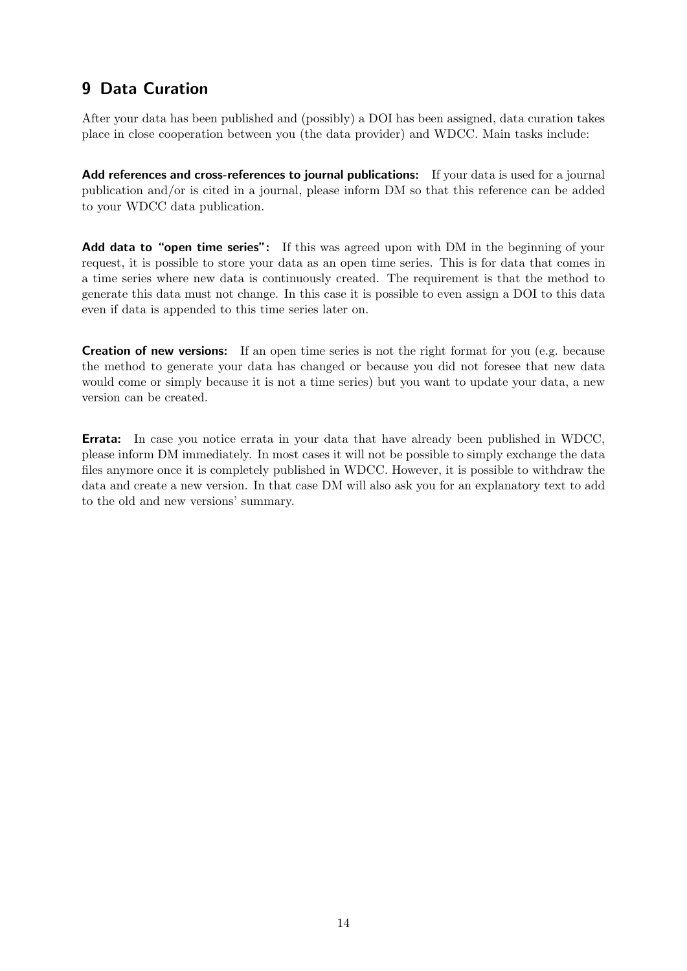# <span id="page-13-0"></span>9 Data Curation

After your data has been published and (possibly) a DOI has been assigned, data curation takes place in close cooperation between you (the data provider) and WDCC. Main tasks include:

Add references and cross-references to journal publications: If your data is used for a journal publication and/or is cited in a journal, please inform DM so that this reference can be added to your WDCC data publication.

Add data to "open time series": If this was agreed upon with DM in the beginning of your request, it is possible to store your data as an open time series. This is for data that comes in a time series where new data is continuously created. The requirement is that the method to generate this data must not change. In this case it is possible to even assign a DOI to this data even if data is appended to this time series later on.

**Creation of new versions:** If an open time series is not the right format for you (e.g. because the method to generate your data has changed or because you did not foresee that new data would come or simply because it is not a time series) but you want to update your data, a new version can be created.

Errata: In case you notice errata in your data that have already been published in WDCC, please inform DM immediately. In most cases it will not be possible to simply exchange the data files anymore once it is completely published in WDCC. However, it is possible to withdraw the data and create a new version. In that case DM will also ask you for an explanatory text to add to the old and new versions' summary.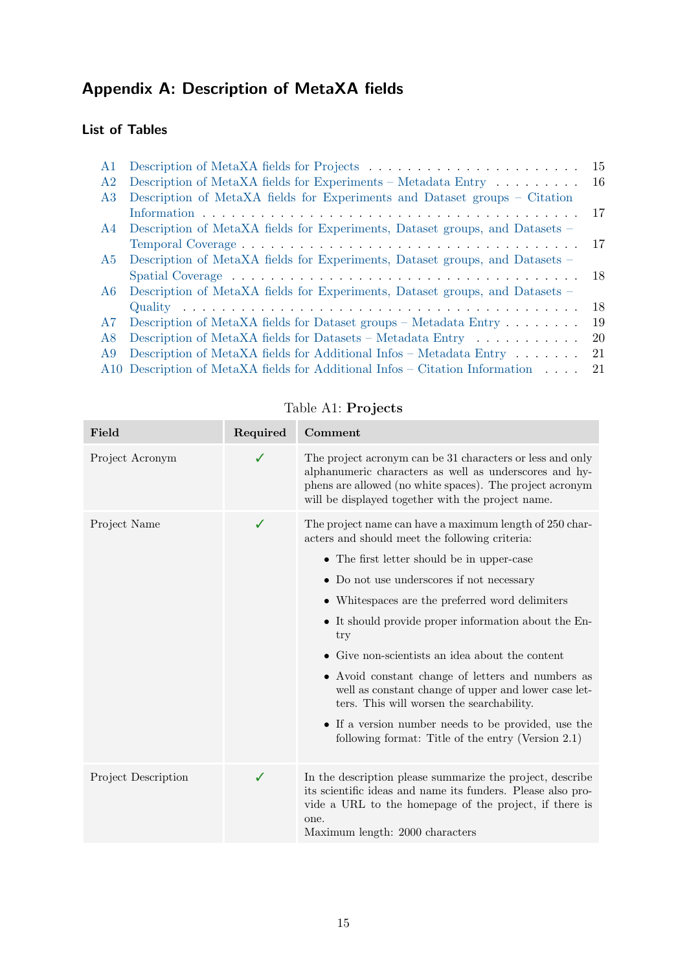# <span id="page-14-0"></span>Appendix A: Description of MetaXA fields

## List of Tables

| A1             |                                                                                   | -15 |
|----------------|-----------------------------------------------------------------------------------|-----|
| A <sub>2</sub> | Description of MetaXA fields for Experiments – Metadata Entry $\dots \dots$       | -16 |
| A3             | Description of MetaXA fields for Experiments and Dataset groups – Citation        |     |
|                |                                                                                   | -17 |
| A4             | Description of MetaXA fields for Experiments, Dataset groups, and Datasets –      |     |
|                |                                                                                   |     |
| A5             | Description of MetaXA fields for Experiments, Dataset groups, and Datasets –      |     |
|                |                                                                                   |     |
| A6             | Description of MetaXA fields for Experiments, Dataset groups, and Datasets –      |     |
|                |                                                                                   | 18  |
| A7.            | Description of MetaXA fields for Dataset groups – Metadata Entry $\dots \dots$    | 19  |
| A8             | Description of MetaXA fields for Datasets – Metadata Entry $\dots \dots \dots$    | 20  |
| A9             | Description of MetaXA fields for Additional Infos -- Metadata Entry $\dots \dots$ | 21  |
|                | A10 Description of MetaXA fields for Additional Infos – Citation Information      | -21 |
|                |                                                                                   |     |

<span id="page-14-1"></span>

| Field               | Required | Comment                                                                                                                                                                                                                                                                                                                                                                                                                                                                                                                                                                                                                                           |
|---------------------|----------|---------------------------------------------------------------------------------------------------------------------------------------------------------------------------------------------------------------------------------------------------------------------------------------------------------------------------------------------------------------------------------------------------------------------------------------------------------------------------------------------------------------------------------------------------------------------------------------------------------------------------------------------------|
| Project Acronym     | ✓        | The project acronym can be 31 characters or less and only<br>alphanumeric characters as well as underscores and hy-<br>phens are allowed (no white spaces). The project acronym<br>will be displayed together with the project name.                                                                                                                                                                                                                                                                                                                                                                                                              |
| Project Name        | ✓        | The project name can have a maximum length of 250 char-<br>acters and should meet the following criteria:<br>• The first letter should be in upper-case<br>• Do not use underscores if not necessary<br>• White spaces are the preferred word delimiters<br>• It should provide proper information about the En-<br>try<br>• Give non-scientists an idea about the content<br>• Avoid constant change of letters and numbers as<br>well as constant change of upper and lower case let-<br>ters. This will worsen the searchability.<br>• If a version number needs to be provided, use the<br>following format: Title of the entry (Version 2.1) |
| Project Description | ✓        | In the description please summarize the project, describe<br>its scientific ideas and name its funders. Please also pro-<br>vide a URL to the homepage of the project, if there is<br>one.<br>Maximum length: 2000 characters                                                                                                                                                                                                                                                                                                                                                                                                                     |

Table A1: Projects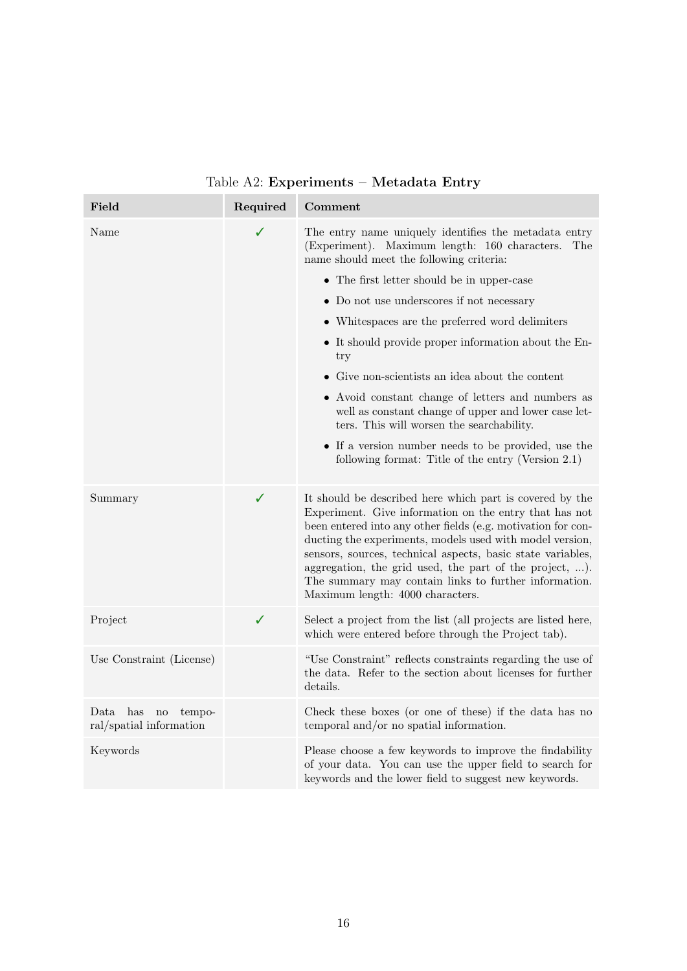<span id="page-15-0"></span>

| Field                                                                | Required | Comment                                                                                                                                                                                                                                                                                                                                                                                                                                                               |
|----------------------------------------------------------------------|----------|-----------------------------------------------------------------------------------------------------------------------------------------------------------------------------------------------------------------------------------------------------------------------------------------------------------------------------------------------------------------------------------------------------------------------------------------------------------------------|
| Name                                                                 | ✓        | The entry name uniquely identifies the metadata entry<br>(Experiment). Maximum length: 160 characters.<br>The<br>name should meet the following criteria:                                                                                                                                                                                                                                                                                                             |
|                                                                      |          | • The first letter should be in upper-case                                                                                                                                                                                                                                                                                                                                                                                                                            |
|                                                                      |          | • Do not use underscores if not necessary                                                                                                                                                                                                                                                                                                                                                                                                                             |
|                                                                      |          | • Whitespaces are the preferred word delimiters                                                                                                                                                                                                                                                                                                                                                                                                                       |
|                                                                      |          | • It should provide proper information about the En-<br>try                                                                                                                                                                                                                                                                                                                                                                                                           |
|                                                                      |          | • Give non-scientists an idea about the content                                                                                                                                                                                                                                                                                                                                                                                                                       |
|                                                                      |          | • Avoid constant change of letters and numbers as<br>well as constant change of upper and lower case let-<br>ters. This will worsen the searchability.                                                                                                                                                                                                                                                                                                                |
|                                                                      |          | • If a version number needs to be provided, use the<br>following format: Title of the entry (Version 2.1)                                                                                                                                                                                                                                                                                                                                                             |
| Summary                                                              | ✓        | It should be described here which part is covered by the<br>Experiment. Give information on the entry that has not<br>been entered into any other fields (e.g. motivation for con-<br>ducting the experiments, models used with model version,<br>sensors, sources, technical aspects, basic state variables,<br>aggregation, the grid used, the part of the project, ).<br>The summary may contain links to further information.<br>Maximum length: 4000 characters. |
| Project                                                              | ✓        | Select a project from the list (all projects are listed here,<br>which were entered before through the Project tab).                                                                                                                                                                                                                                                                                                                                                  |
| Use Constraint (License)                                             |          | "Use Constraint" reflects constraints regarding the use of<br>the data. Refer to the section about licenses for further<br>details.                                                                                                                                                                                                                                                                                                                                   |
| Data has<br>$\operatorname{no}$<br>tempo-<br>ral/spatial information |          | Check these boxes (or one of these) if the data has no<br>temporal and/or no spatial information.                                                                                                                                                                                                                                                                                                                                                                     |
| Keywords                                                             |          | Please choose a few keywords to improve the findability<br>of your data. You can use the upper field to search for<br>keywords and the lower field to suggest new keywords.                                                                                                                                                                                                                                                                                           |

Table A2: Experiments – Metadata Entry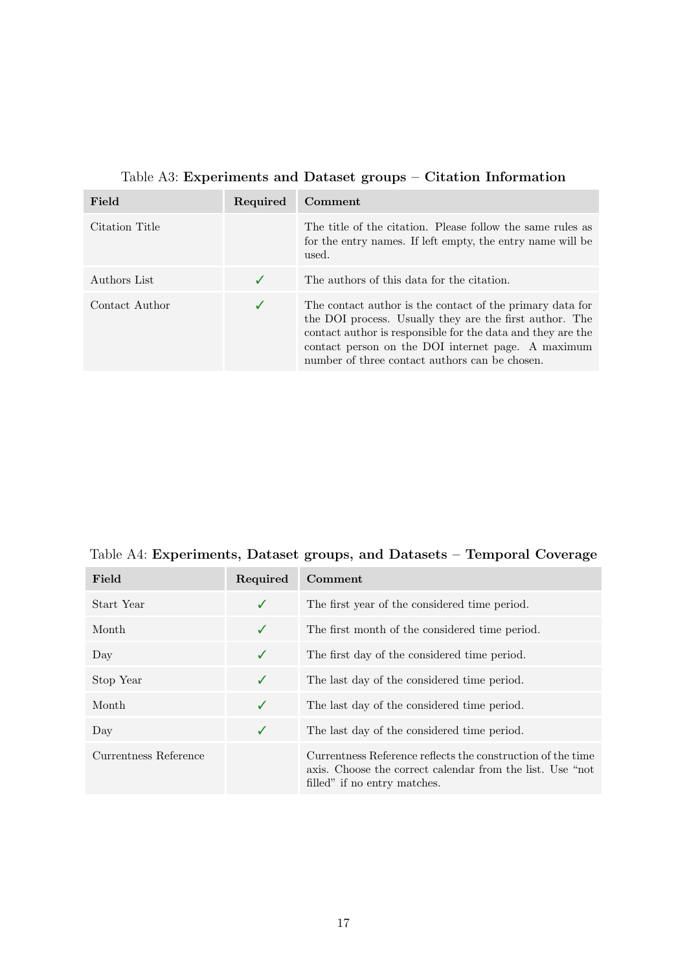<span id="page-16-0"></span>

| Field          | Required | Comment                                                                                                                                                                                                                                                                                     |
|----------------|----------|---------------------------------------------------------------------------------------------------------------------------------------------------------------------------------------------------------------------------------------------------------------------------------------------|
| Citation Title |          | The title of the citation. Please follow the same rules as<br>for the entry names. If left empty, the entry name will be<br>used.                                                                                                                                                           |
| Authors List   |          | The authors of this data for the citation.                                                                                                                                                                                                                                                  |
| Contact Author | ✓        | The contact author is the contact of the primary data for<br>the DOI process. Usually they are the first author. The<br>contact author is responsible for the data and they are the<br>contact person on the DOI internet page. A maximum<br>number of three contact authors can be chosen. |

## Table A3: Experiments and Dataset groups – Citation Information

<span id="page-16-1"></span>Table A4: Experiments, Dataset groups, and Datasets – Temporal Coverage

| Field                 | Required | Comment                                                                                                                                                   |
|-----------------------|----------|-----------------------------------------------------------------------------------------------------------------------------------------------------------|
| Start Year            | ✓        | The first year of the considered time period.                                                                                                             |
| Month                 | ✓        | The first month of the considered time period.                                                                                                            |
| Day                   | ✓        | The first day of the considered time period.                                                                                                              |
| Stop Year             | ✓        | The last day of the considered time period.                                                                                                               |
| Month                 | ✓        | The last day of the considered time period.                                                                                                               |
| Day                   | ✓        | The last day of the considered time period.                                                                                                               |
| Currentness Reference |          | Currentness Reference reflects the construction of the time<br>axis. Choose the correct calendar from the list. Use "not"<br>filled" if no entry matches. |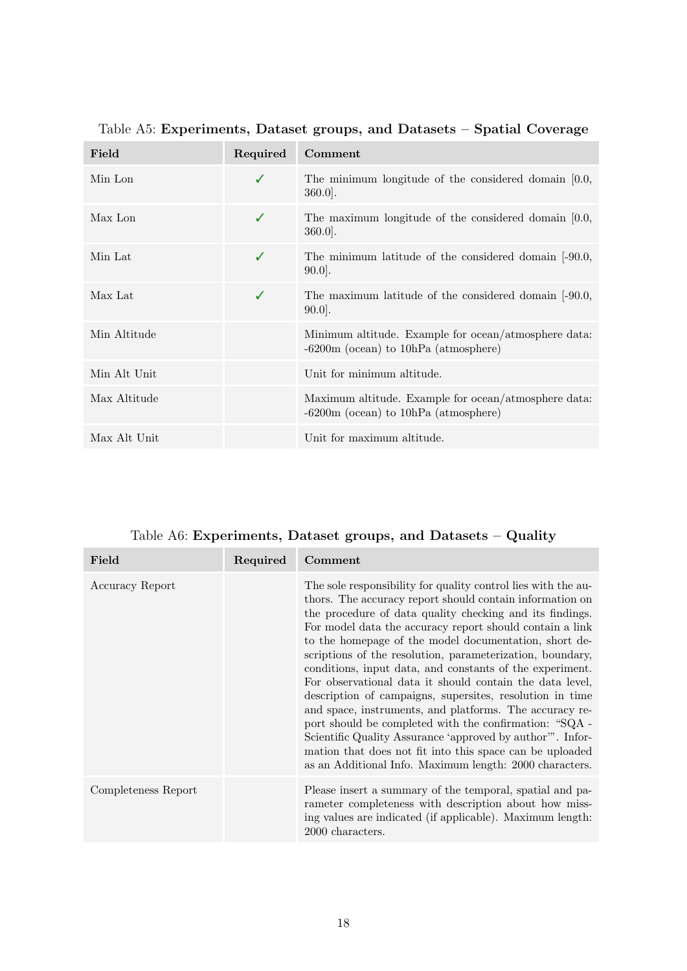| Field        | Required | Comment                                                                                           |
|--------------|----------|---------------------------------------------------------------------------------------------------|
| Min Lon      | ✓        | The minimum longitude of the considered domain $[0.0, 0.0]$<br>$360.0$ .                          |
| Max Lon      | ✓        | The maximum longitude of the considered domain $[0.0, 0.0]$<br>$360.0$ .                          |
| Min Lat      | ✓        | The minimum latitude of the considered domain $[-90.0,$<br>$90.0$ .                               |
| Max Lat      | J        | The maximum latitude of the considered domain [-90.0,<br>$90.0$ .                                 |
| Min Altitude |          | Minimum altitude. Example for ocean/atmosphere data:<br>$-6200$ m (ocean) to $10hPa$ (atmosphere) |
| Min Alt Unit |          | Unit for minimum altitude.                                                                        |
| Max Altitude |          | Maximum altitude. Example for ocean/atmosphere data:<br>$-6200$ m (ocean) to $10hPa$ (atmosphere) |
| Max Alt Unit |          | Unit for maximum altitude.                                                                        |

<span id="page-17-0"></span>Table A5: Experiments, Dataset groups, and Datasets – Spatial Coverage

<span id="page-17-1"></span>

| Field               | Required | Comment                                                                                                                                                                                                                                                                                                                                                                                                                                                                                                                                                                                                                                                                                                                                                                                                                                                               |
|---------------------|----------|-----------------------------------------------------------------------------------------------------------------------------------------------------------------------------------------------------------------------------------------------------------------------------------------------------------------------------------------------------------------------------------------------------------------------------------------------------------------------------------------------------------------------------------------------------------------------------------------------------------------------------------------------------------------------------------------------------------------------------------------------------------------------------------------------------------------------------------------------------------------------|
| Accuracy Report     |          | The sole responsibility for quality control lies with the au-<br>thors. The accuracy report should contain information on<br>the procedure of data quality checking and its findings.<br>For model data the accuracy report should contain a link<br>to the homepage of the model documentation, short de-<br>scriptions of the resolution, parameterization, boundary,<br>conditions, input data, and constants of the experiment.<br>For observational data it should contain the data level,<br>description of campaigns, supersites, resolution in time<br>and space, instruments, and platforms. The accuracy re-<br>port should be completed with the confirmation: "SQA -<br>Scientific Quality Assurance 'approved by author'". Infor-<br>mation that does not fit into this space can be uploaded<br>as an Additional Info. Maximum length: 2000 characters. |
| Completeness Report |          | Please insert a summary of the temporal, spatial and pa-<br>rameter completeness with description about how miss-<br>ing values are indicated (if applicable). Maximum length:<br>2000 characters.                                                                                                                                                                                                                                                                                                                                                                                                                                                                                                                                                                                                                                                                    |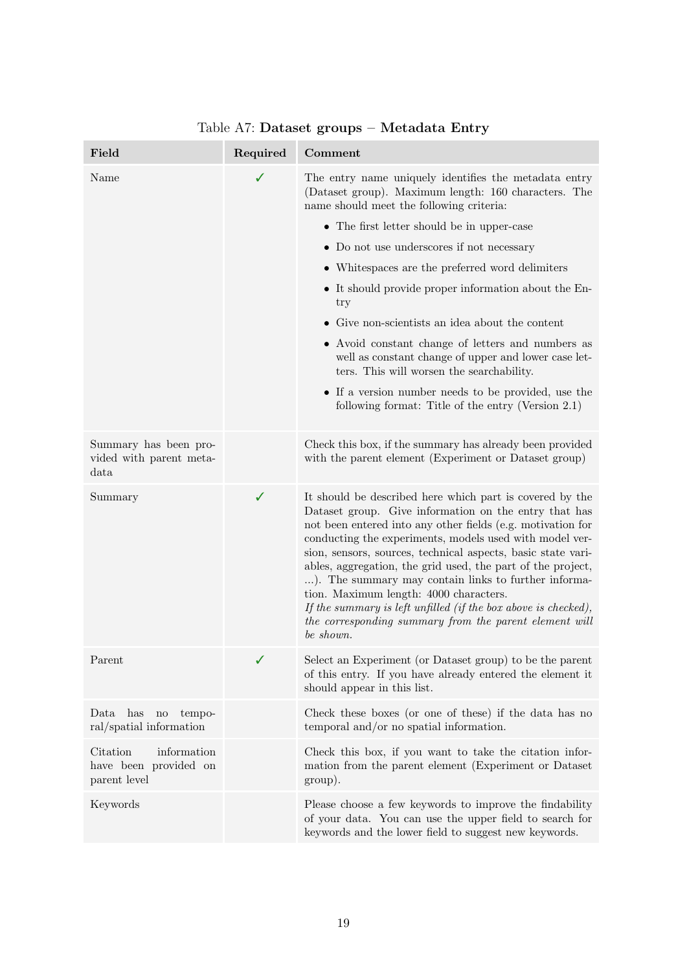<span id="page-18-0"></span>

| Field                                                                   | Required | Comment                                                                                                                                                                                                                                                                                                                                                                                                                                                                                                                                                                                                               |
|-------------------------------------------------------------------------|----------|-----------------------------------------------------------------------------------------------------------------------------------------------------------------------------------------------------------------------------------------------------------------------------------------------------------------------------------------------------------------------------------------------------------------------------------------------------------------------------------------------------------------------------------------------------------------------------------------------------------------------|
| Name                                                                    | ✓        | The entry name uniquely identifies the metadata entry<br>(Dataset group). Maximum length: 160 characters. The<br>name should meet the following criteria:                                                                                                                                                                                                                                                                                                                                                                                                                                                             |
|                                                                         |          | • The first letter should be in upper-case                                                                                                                                                                                                                                                                                                                                                                                                                                                                                                                                                                            |
|                                                                         |          | • Do not use underscores if not necessary                                                                                                                                                                                                                                                                                                                                                                                                                                                                                                                                                                             |
|                                                                         |          | • Whitespaces are the preferred word delimiters                                                                                                                                                                                                                                                                                                                                                                                                                                                                                                                                                                       |
|                                                                         |          | • It should provide proper information about the En-<br>try                                                                                                                                                                                                                                                                                                                                                                                                                                                                                                                                                           |
|                                                                         |          | • Give non-scientists an idea about the content                                                                                                                                                                                                                                                                                                                                                                                                                                                                                                                                                                       |
|                                                                         |          | • Avoid constant change of letters and numbers as<br>well as constant change of upper and lower case let-<br>ters. This will worsen the searchability.                                                                                                                                                                                                                                                                                                                                                                                                                                                                |
|                                                                         |          | • If a version number needs to be provided, use the<br>following format: Title of the entry (Version 2.1)                                                                                                                                                                                                                                                                                                                                                                                                                                                                                                             |
| Summary has been pro-<br>vided with parent meta-<br>data                |          | Check this box, if the summary has already been provided<br>with the parent element (Experiment or Dataset group)                                                                                                                                                                                                                                                                                                                                                                                                                                                                                                     |
| Summary                                                                 | ✓        | It should be described here which part is covered by the<br>Dataset group. Give information on the entry that has<br>not been entered into any other fields (e.g. motivation for<br>conducting the experiments, models used with model ver-<br>sion, sensors, sources, technical aspects, basic state vari-<br>ables, aggregation, the grid used, the part of the project,<br>). The summary may contain links to further informa-<br>tion. Maximum length: 4000 characters.<br>If the summary is left unfilled (if the box above is checked),<br>the corresponding summary from the parent element will<br>be shown. |
| Parent                                                                  |          | Select an Experiment (or Dataset group) to be the parent<br>of this entry. If you have already entered the element it<br>should appear in this list.                                                                                                                                                                                                                                                                                                                                                                                                                                                                  |
| has<br>Data<br>$\operatorname{no}$<br>tempo-<br>ral/spatial information |          | Check these boxes (or one of these) if the data has no<br>temporal and/or no spatial information.                                                                                                                                                                                                                                                                                                                                                                                                                                                                                                                     |
| Citation<br>information<br>have been provided on<br>parent level        |          | Check this box, if you want to take the citation infor-<br>mation from the parent element (Experiment or Dataset<br>group).                                                                                                                                                                                                                                                                                                                                                                                                                                                                                           |
| Keywords                                                                |          | Please choose a few keywords to improve the findability<br>of your data. You can use the upper field to search for<br>keywords and the lower field to suggest new keywords.                                                                                                                                                                                                                                                                                                                                                                                                                                           |

# Table A7: Dataset groups – Metadata Entry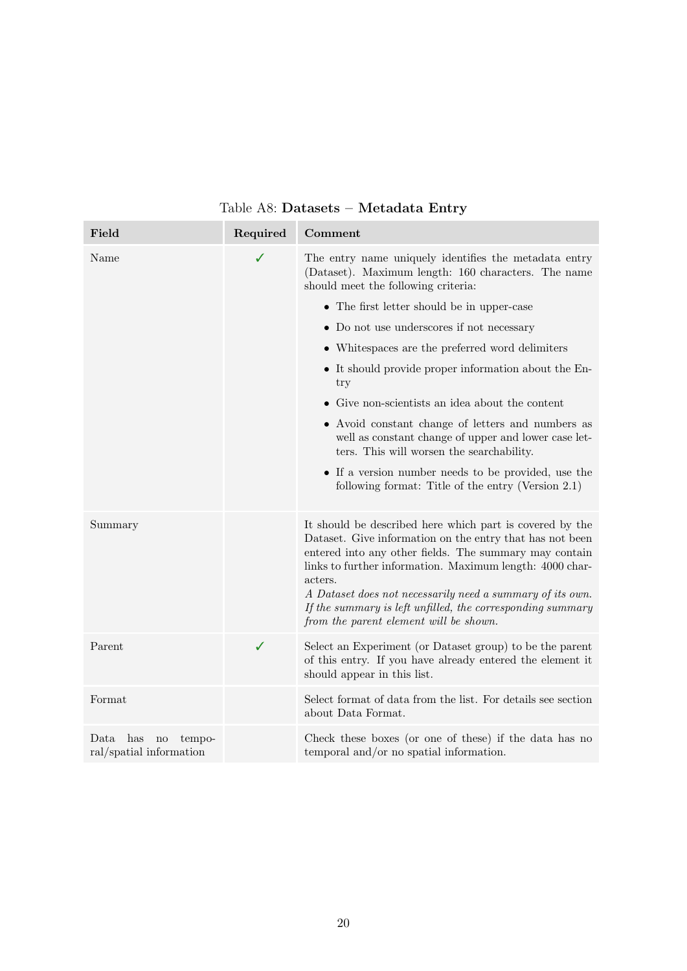<span id="page-19-0"></span>

| Field                                                        | Required | Comment                                                                                                                                                                                                                                                                                                                                                                                                                    |
|--------------------------------------------------------------|----------|----------------------------------------------------------------------------------------------------------------------------------------------------------------------------------------------------------------------------------------------------------------------------------------------------------------------------------------------------------------------------------------------------------------------------|
| Name                                                         | ✓        | The entry name uniquely identifies the metadata entry<br>(Dataset). Maximum length: 160 characters. The name<br>should meet the following criteria:                                                                                                                                                                                                                                                                        |
|                                                              |          | • The first letter should be in upper-case                                                                                                                                                                                                                                                                                                                                                                                 |
|                                                              |          | • Do not use underscores if not necessary                                                                                                                                                                                                                                                                                                                                                                                  |
|                                                              |          | • Whitespaces are the preferred word delimiters                                                                                                                                                                                                                                                                                                                                                                            |
|                                                              |          | • It should provide proper information about the En-<br>try                                                                                                                                                                                                                                                                                                                                                                |
|                                                              |          | $\bullet$ Give non-scientists an idea about the content                                                                                                                                                                                                                                                                                                                                                                    |
|                                                              |          | • Avoid constant change of letters and numbers as<br>well as constant change of upper and lower case let-<br>ters. This will worsen the searchability.                                                                                                                                                                                                                                                                     |
|                                                              |          | • If a version number needs to be provided, use the<br>following format: Title of the entry (Version 2.1)                                                                                                                                                                                                                                                                                                                  |
| Summary                                                      |          | It should be described here which part is covered by the<br>Dataset. Give information on the entry that has not been<br>entered into any other fields. The summary may contain<br>links to further information. Maximum length: 4000 char-<br>acters.<br>A Dataset does not necessarily need a summary of its own.<br>If the summary is left unfilled, the corresponding summary<br>from the parent element will be shown. |
| Parent                                                       | ✓        | Select an Experiment (or Dataset group) to be the parent<br>of this entry. If you have already entered the element it<br>should appear in this list.                                                                                                                                                                                                                                                                       |
| Format                                                       |          | Select format of data from the list. For details see section<br>about Data Format.                                                                                                                                                                                                                                                                                                                                         |
| has<br>Data<br>$\rm no$<br>tempo-<br>ral/spatial information |          | Check these boxes (or one of these) if the data has no<br>temporal and/or no spatial information.                                                                                                                                                                                                                                                                                                                          |

## Table A8: Datasets – Metadata Entry

e en

a.